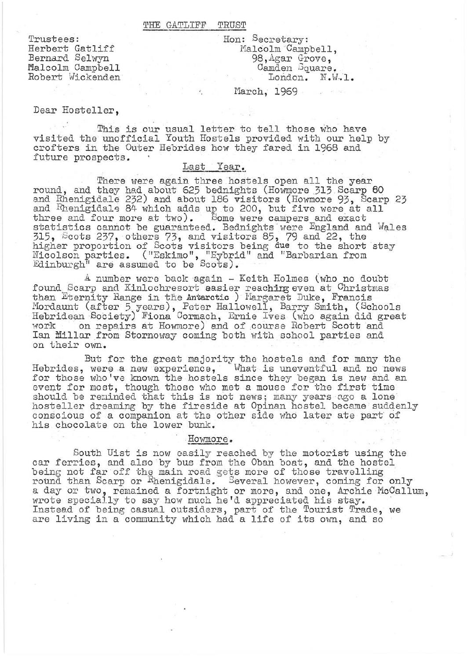#### THE GATLIFF TRUST

Trustees: Herbert Gatliff Bernard Selwyn Malcolm Campbell Robert Wickenden . Hon: Secretary: Malcolm Campbell, 98,Agar Grove, Camden Square. London. N.W.l.

March, 1969

### Dear Hosteller,

This is our usual letter to tell those who have visited the unofficial Youth Hostels provided with our help by crofters in the Outer Hebrides how they fared in 1968 and future prospects.

# Last Year.

There were again three hostels open all the year round, and they had about 625 bednights (Howmore 313 Scarp 60 and Rhenigidale 232) and about 186 visitors (Howmore 93, Scarp 23 and Rhenigidale 84 which adds up to 200, but five were at all three and four more at two). Some were campers and exact statistics cannot be guaranteed. Bednights were England and Wales 315, i3cots 237, others 73, and visitors 85, 79 and 22, the higher proportion of Scots visitors being due to the short stay Nicolson parties. ("Eskimo", "Eybrid" and "Barbarian from Edinburgh<sup>1</sup> are assumed to be Scots).

A number were back again - Keith Holmes (who no doubt found Scarp and Kinlochresort easier reaching even at Christmas than Eternity Range in the Antarctic ) Margaret Duke, Francis Mordaunt (after 5 years), Peter Hallowell, Barry Smith, (Schools Hebridean Society) Fiona Cormach, Ernie Ives (who again did great work on repairs at Howmore) and of course Robert Scott and Ian Millar from Stornoway coming both with school parties and on their own.

But for the great majority the hostels and for many the Hebrides, were a new experience, What is uneventful and no news for those who 've known the hostels since they began is new and an event for most, though those who met a mouse for the first time should be reminded that this is not news; many years ago a lone hosteller dreaming by the fireside at Opinan hostel became suddenly conscious of a companion at the other side who later ate part of his chocolate on the lower bunk.

## Howmore.

South Uist is now easily reached by the motorist using the car ferries, and also by bus from the Oban boat, and the hostel being not far off the main road gets more of those travelling round than Scarp or Rhenigidale. Several however, coming for only a day or two, remained a fortnight or more, and one, Archie McCallum, wrote specially to say how much he'd appreciated his stay. Instead of being casual outsiders, part of the Tourist Trade, we are living in a community which had a life of its own, and so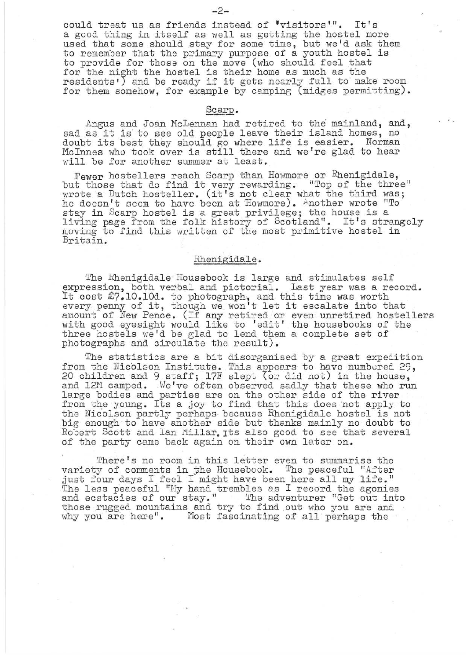could treat us as friends instead of 'visitors'". It's a good thing in itself as well as getting the hostel more used that some should stay for some time, but we'd ask them to remember that the primary purpose of a youth hostel is to provide for those on the move (who should feel that for the night the hostel is their home as much as the  $residents')$  and be ready if it gets nearly full to make room for them somehow, for example by camping (midges permitting).

### Scarp.

Angus and Joan McLennan had retired to the mainland, and, sad as it is to see old people leave their island homes, no doubt its best they should go where life is easier. Norman McInnes who took over is still there and we're glad to hear will be for another summer at least.

Fewer hostellers reach Scarp than Howmore or Rhenigidale, Fewer nostellers reach scarp than howmore or inemigraale,<br>but those that do find it very rewarding. "Top of the three" wrote a Dutch hosteller. (it's not clear what the third was; he doesn't seem to have been at Howmore). Another wrote "To stay in Scarp hostel is a great privilege; the house is a living page from the folk history of Scotland". It's strangely moving to find this written of the most primitive hostel in Britain.

#### Rhenigidale.

The Rhenigidale Housebook is large and stimulates self expression, both verbal and pictorial. Last year was a record. expression, both verbal and protofial. Hast year was a reference to photograph, and this time was worth It cost  $\omega$ , 10.100. to photograph, and this time was worth<br>every penny of it, though we won't let it escalate into that amount of New Pence. (If any retired or even unretired hostellers with good eyesight would like to 'edit' the housebooks of the three hostels we'd be glad to lend them a complete set of photographs and circulate the result).

The statistics are a bit disorganised by a great expedition from the Nicolson Institute. This appears to have numbered 29, 20 children and 9 staff;17F slept (or did not) in the house, and 12M camped. We've often observed sadly that these who run large bodies and parties are on the other side of the river from the young. Its a joy to find that this does 'not apply to the Nicolson partly perhaps because Rhenigidale hostel is not big enough to have another side but thanks mainly no doubt to Robert Scott and Ian Millar. Its also good to see that several of the party came back again on their *ovm* later on.

There's no room in this letter even to summarise the variety of comments in the Housebook. The peaceful "After just four days I feel I might have been here all my life." The less peaceful "My hand trembles as I record the agonies" and ecstacies of our stay." The adventurer "Get out into and ecstacies of our stay." The adventurer "Get out into<br>those rugged mountains and try to find out who you are and<br>why you are here". Most fascinating of all perhaps the Most fascinating of all perhaps the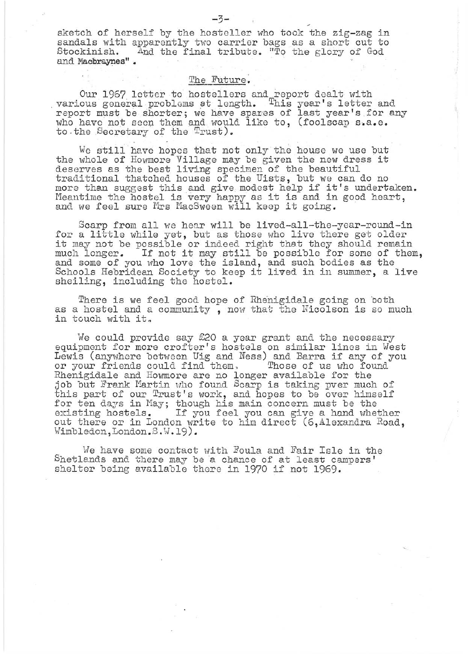sketch of herself by the hosteller who took the zig-zag in sandals with apparently two carrier bags as a short cut to<br>Stockinish. And the final tribute. "To the glory of God And the final tribute. "To the glory of God and Macbraynes".

# The Future.

Our 1967 letter to hoetellers and report dealt with various general problems at length. This year's letter and report must be shorter; we have spares of last year's for any who have not seen them and would like to, (foolscap s.a.e. to . the Secretary of the Trust).

 $\mathbf{I}$ 

We still have hopes that not only the house we use but the whole of Howmore Village may be given the new dress it deserves as the best living specinen of the beautiful traditional thatched houses of the Uists, but we can do no more than suggest this and give modest help if it's undertaken. more than suggest this and give modest help if it's undertake<br>Meantime the hostel is very happy as it is and in good heart, Meantime the hostel is very happy as it is and in<br>and we feel sure Mrs MacSween will keep it going.

Scarp from all we hear will be lived-all-the-year-round-in for a little while yet, but as those who live there get older it may not be possible or indeed right that they should remain much longer. If not it may still be possible for some of them, and some of you who love the island, and such bodies as the Schools Hebridean Society to keep it lived in in summer, a live sheiling, including the hostel.

There is we feel good hope of Rhenigidale going on both as a hostel and a community, now that the Nicolson is so much in touch with it.

We could provide say £20 a year grant and the necessary equipment for more crofter's hostels on similar lines in West equipment for more crofter s hosters on similar fines in west<br>Lewis (anywhere between Uig and Ness) and Barra if any of you or your friends could find them, Those of us who found Rhenigidale and Howmore are no longer available for the job but Frank Martin who found Scarp is taking pver much of this part of our Trust's work, and hopes to be over himself for ten days in May; though his main concern must be the existing hostels. If you feel you can give a hand whether out there or in London write to him direct (6,Alexandra Road,  $\texttt{Wimbledon, London.S.W.19)}$ .

We have some contact with Foula and Fair Isle in the Shetlands and there may be a chance of at least campers' shelter being available there in 1970 if not 1969.